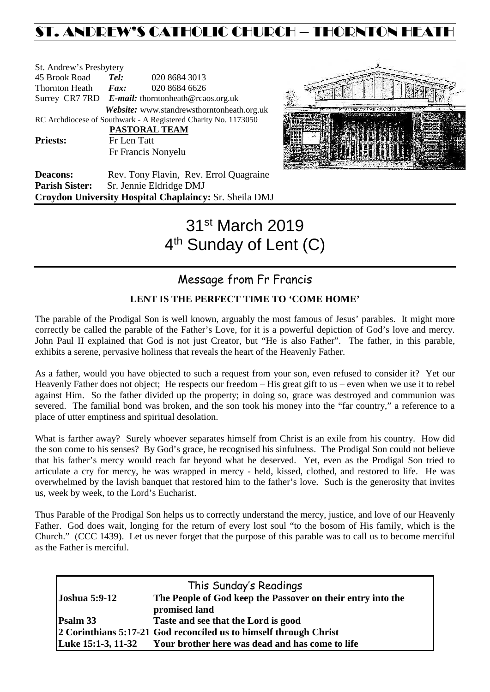# ST. ANDREW'S CATHOLIC CHURCH – THORNTON HEATH

| St. Andrew's Presbytery     |                                                   |                                                                |  |  |
|-----------------------------|---------------------------------------------------|----------------------------------------------------------------|--|--|
| 45 Brook Road               | Tel:                                              | 020 8684 3013                                                  |  |  |
| Thornton Heath <i>Fax</i> : |                                                   | 020 8684 6626                                                  |  |  |
|                             | Surrey CR7 7RD E-mail: thorntonheath@rcaos.org.uk |                                                                |  |  |
|                             |                                                   | Website: www.standrewsthorntonheath.org.uk                     |  |  |
|                             |                                                   | RC Archdiocese of Southwark - A Registered Charity No. 1173050 |  |  |
|                             |                                                   | PASTORAL TEAM                                                  |  |  |
| <b>Priests:</b>             | Fr Len Tatt                                       |                                                                |  |  |
|                             |                                                   | Fr Francis Nonyelu                                             |  |  |
|                             |                                                   |                                                                |  |  |



**Deacons:** Rev. Tony Flavin, Rev. Errol Quagraine **Parish Sister:** Sr. Jennie Eldridge DMJ **Croydon University Hospital Chaplaincy:** Sr. Sheila DMJ

# 31st March 2019 4<sup>th</sup> Sunday of Lent (C)

# Message from Fr Francis

# **LENT IS THE PERFECT TIME TO 'COME HOME'**

The parable of the Prodigal Son is well known, arguably the most famous of Jesus' parables. It might more correctly be called the parable of the Father's Love, for it is a powerful depiction of God's love and mercy. John Paul II explained that God is not just Creator, but "He is also Father". The father, in this parable, exhibits a serene, pervasive holiness that reveals the heart of the Heavenly Father.

As a father, would you have objected to such a request from your son, even refused to consider it? Yet our Heavenly Father does not object; He respects our freedom – His great gift to us – even when we use it to rebel against Him. So the father divided up the property; in doing so, grace was destroyed and communion was severed. The familial bond was broken, and the son took his money into the "far country," a reference to a place of utter emptiness and spiritual desolation.

What is farther away? Surely whoever separates himself from Christ is an exile from his country. How did the son come to his senses? By God's grace, he recognised his sinfulness. The Prodigal Son could not believe that his father's mercy would reach far beyond what he deserved. Yet, even as the Prodigal Son tried to articulate a cry for mercy, he was wrapped in mercy - held, kissed, clothed, and restored to life. He was overwhelmed by the lavish banquet that restored him to the father's love. Such is the generosity that invites us, week by week, to the Lord's Eucharist.

Thus Parable of the Prodigal Son helps us to correctly understand the mercy, justice, and love of our Heavenly Father. God does wait, longing for the return of every lost soul "to the bosom of His family, which is the Church." (CCC 1439). Let us never forget that the purpose of this parable was to call us to become merciful as the Father is merciful.

| This Sunday's Readings |                                                                   |  |  |
|------------------------|-------------------------------------------------------------------|--|--|
| <b>Joshua 5:9-12</b>   | The People of God keep the Passover on their entry into the       |  |  |
|                        | promised land                                                     |  |  |
| Psalm 33               | Taste and see that the Lord is good                               |  |  |
|                        | 2 Corinthians 5:17-21 God reconciled us to himself through Christ |  |  |
| Luke 15:1-3, 11-32     | Your brother here was dead and has come to life                   |  |  |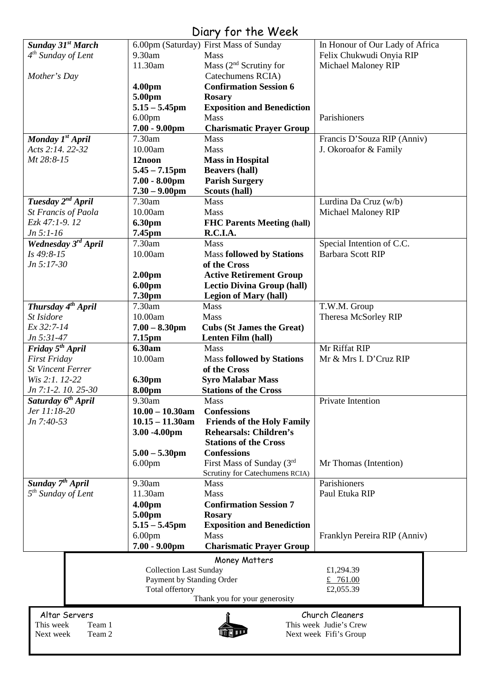# Diary for the Week

|                                                 |                               | יוטט זז טוויו וטן                      |                                 |  |
|-------------------------------------------------|-------------------------------|----------------------------------------|---------------------------------|--|
| Sunday 31 <sup>st</sup> March                   |                               | 6.00pm (Saturday) First Mass of Sunday | In Honour of Our Lady of Africa |  |
| $4th$ Sunday of Lent                            | 9.30am                        | Mass                                   | Felix Chukwudi Onyia RIP        |  |
|                                                 | 11.30am                       | Mass $(2nd$ Scrutiny for               | Michael Maloney RIP             |  |
| Mother's Day                                    |                               | Catechumens RCIA)                      |                                 |  |
|                                                 | 4.00 <sub>pm</sub>            | <b>Confirmation Session 6</b>          |                                 |  |
|                                                 | 5.00pm                        | <b>Rosary</b>                          |                                 |  |
|                                                 | $5.15 - 5.45$ pm              | <b>Exposition and Benediction</b>      |                                 |  |
|                                                 | 6.00 <sub>pm</sub>            | Mass                                   | Parishioners                    |  |
|                                                 | $7.00 - 9.00$ pm              | <b>Charismatic Prayer Group</b>        |                                 |  |
| Monday 1 <sup>st</sup> April                    | 7.30am                        | Mass                                   | Francis D'Souza RIP (Anniv)     |  |
| Acts 2:14, 22-32                                | 10.00am                       | Mass                                   | J. Okoroafor & Family           |  |
|                                                 |                               |                                        |                                 |  |
| Mt 28:8-15                                      | 12noon                        | <b>Mass in Hospital</b>                |                                 |  |
|                                                 | $5.45 - 7.15$ pm              | <b>Beavers (hall)</b>                  |                                 |  |
|                                                 | $7.00 - 8.00$ pm              | <b>Parish Surgery</b>                  |                                 |  |
|                                                 | $7.30 - 9.00$ pm              | Scouts (hall)                          |                                 |  |
| Tuesday 2 <sup>nd</sup> April                   | 7.30am                        | Mass                                   | Lurdina Da Cruz (w/b)           |  |
| <b>St Francis of Paola</b>                      | 10.00am                       | <b>Mass</b>                            | <b>Michael Maloney RIP</b>      |  |
| Ezk 47:1-9.12                                   | 6.30pm                        | <b>FHC Parents Meeting (hall)</b>      |                                 |  |
| $Jn 5:1-16$                                     | 7.45pm                        | R.C.I.A.                               |                                 |  |
| Wednesday 3rd April                             | 7.30am                        | <b>Mass</b>                            | Special Intention of C.C.       |  |
| Is 49:8-15                                      | 10.00am                       | <b>Mass followed by Stations</b>       | <b>Barbara Scott RIP</b>        |  |
| $Jn 5:17-30$                                    |                               | of the Cross                           |                                 |  |
|                                                 | 2.00pm                        | <b>Active Retirement Group</b>         |                                 |  |
|                                                 | 6.00pm                        | <b>Lectio Divina Group (hall)</b>      |                                 |  |
|                                                 | 7.30pm                        | <b>Legion of Mary (hall)</b>           |                                 |  |
| Thursday 4 <sup>th</sup> April                  | 7.30am                        | Mass                                   | T.W.M. Group                    |  |
| St Isidore                                      | 10.00am                       | Mass                                   | Theresa McSorley RIP            |  |
| Ex 32:7-14                                      | $7.00 - 8.30$ pm              | <b>Cubs (St James the Great)</b>       |                                 |  |
| Jn 5:31-47                                      | 7.15pm                        | Lenten Film (hall)                     |                                 |  |
| Friday 5 <sup>th</sup> April                    | 6.30am                        | Mass                                   | Mr Riffat RIP                   |  |
|                                                 | 10.00am                       | <b>Mass followed by Stations</b>       | Mr & Mrs I. D'Cruz RIP          |  |
| <b>First Friday</b><br><b>St Vincent Ferrer</b> |                               | of the Cross                           |                                 |  |
|                                                 |                               |                                        |                                 |  |
| Wis 2:1. 12-22                                  | 6.30pm                        | <b>Syro Malabar Mass</b>               |                                 |  |
| Jn 7:1-2. 10. 25-30                             | 8.00pm                        | <b>Stations of the Cross</b>           |                                 |  |
| Saturday 6 <sup>th</sup> April                  | 9.30am                        | Mass                                   | Private Intention               |  |
| Jer 11:18-20                                    | $10.00 - 10.30$ am            | <b>Confessions</b>                     |                                 |  |
| Jn 7:40-53                                      | $10.15 - 11.30$ am            | <b>Friends of the Holy Family</b>      |                                 |  |
|                                                 | 3.00 -4.00pm                  | <b>Rehearsals: Children's</b>          |                                 |  |
|                                                 |                               | <b>Stations of the Cross</b>           |                                 |  |
|                                                 | $5.00 - 5.30$ pm              | <b>Confessions</b>                     |                                 |  |
|                                                 | 6.00 <sub>pm</sub>            | First Mass of Sunday (3rd              | Mr Thomas (Intention)           |  |
|                                                 |                               | Scrutiny for Catechumens RCIA)         |                                 |  |
| Sunday $7th$ April                              | 9.30am                        | <b>Mass</b>                            | Parishioners                    |  |
| $5th$ Sunday of Lent                            | 11.30am                       | Mass                                   | Paul Etuka RIP                  |  |
|                                                 | 4.00pm                        | <b>Confirmation Session 7</b>          |                                 |  |
|                                                 | 5.00pm                        | <b>Rosary</b>                          |                                 |  |
|                                                 | $5.15 - 5.45$ pm              | <b>Exposition and Benediction</b>      |                                 |  |
|                                                 | 6.00 <sub>pm</sub>            | Mass                                   | Franklyn Pereira RIP (Anniv)    |  |
|                                                 | $7.00 - 9.00$ pm              | <b>Charismatic Prayer Group</b>        |                                 |  |
|                                                 |                               |                                        |                                 |  |
|                                                 |                               | Money Matters                          |                                 |  |
|                                                 | <b>Collection Last Sunday</b> |                                        | £1,294.39                       |  |
|                                                 | Payment by Standing Order     |                                        | £ 761.00                        |  |
|                                                 | Total offertory               |                                        | £2,055.39                       |  |
| Thank you for your generosity                   |                               |                                        |                                 |  |
| Altar Servers                                   |                               |                                        | Church Cleaners                 |  |
| This week<br>Team 1                             |                               |                                        | This week Judie's Crew          |  |
| Next week<br>Team 2                             |                               |                                        | Next week Fifi's Group          |  |
|                                                 |                               |                                        |                                 |  |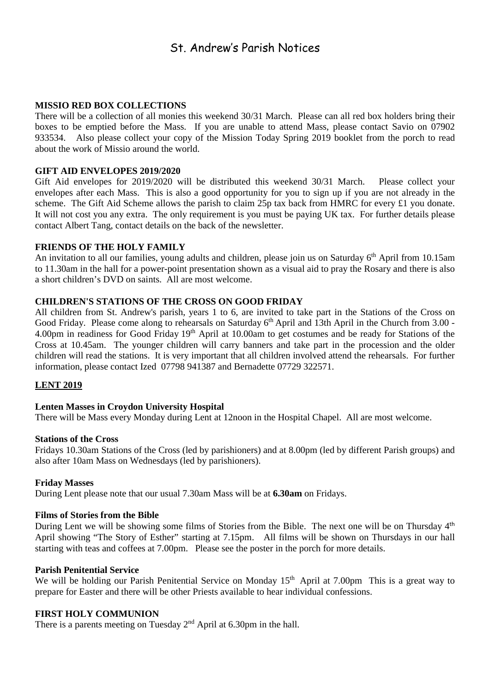# St. Andrew's Parish Notices

### **MISSIO RED BOX COLLECTIONS**

There will be a collection of all monies this weekend 30/31 March. Please can all red box holders bring their boxes to be emptied before the Mass. If you are unable to attend Mass, please contact Savio on 07902 933534. Also please collect your copy of the Mission Today Spring 2019 booklet from the porch to read about the work of Missio around the world.

#### **GIFT AID ENVELOPES 2019/2020**

Gift Aid envelopes for 2019/2020 will be distributed this weekend 30/31 March. Please collect your envelopes after each Mass. This is also a good opportunity for you to sign up if you are not already in the scheme. The Gift Aid Scheme allows the parish to claim 25p tax back from HMRC for every £1 you donate. It will not cost you any extra. The only requirement is you must be paying UK tax. For further details please contact Albert Tang, contact details on the back of the newsletter.

#### **FRIENDS OF THE HOLY FAMILY**

An invitation to all our families, young adults and children, please join us on Saturday 6<sup>th</sup> April from 10.15am to 11.30am in the hall for a power-point presentation shown as a visual aid to pray the Rosary and there is also a short children's DVD on saints. All are most welcome.

# **CHILDREN'S STATIONS OF THE CROSS ON GOOD FRIDAY**

All children from St. Andrew's parish, years 1 to 6, are invited to take part in the Stations of the Cross on Good Friday. Please come along to rehearsals on Saturday  $6<sup>th</sup>$  April and 13th April in the Church from 3.00 -4.00pm in readiness for Good Friday 19<sup>th</sup> April at 10.00am to get costumes and be ready for Stations of the Cross at 10.45am. The younger children will carry banners and take part in the procession and the older children will read the stations. It is very important that all children involved attend the rehearsals. For further information, please contact Ized 07798 941387 and Bernadette 07729 322571.

# **LENT 2019**

#### **Lenten Masses in Croydon University Hospital**

There will be Mass every Monday during Lent at 12noon in the Hospital Chapel. All are most welcome.

#### **Stations of the Cross**

Fridays 10.30am Stations of the Cross (led by parishioners) and at 8.00pm (led by different Parish groups) and also after 10am Mass on Wednesdays (led by parishioners).

#### **Friday Masses**

During Lent please note that our usual 7.30am Mass will be at **6.30am** on Fridays.

#### **Films of Stories from the Bible**

During Lent we will be showing some films of Stories from the Bible. The next one will be on Thursday 4<sup>th</sup> April showing "The Story of Esther" starting at 7.15pm. All films will be shown on Thursdays in our hall starting with teas and coffees at 7.00pm. Please see the poster in the porch for more details.

#### **Parish Penitential Service**

We will be holding our Parish Penitential Service on Monday 15<sup>th</sup> April at 7.00pm This is a great way to prepare for Easter and there will be other Priests available to hear individual confessions.

# **FIRST HOLY COMMUNION**

There is a parents meeting on Tuesday  $2<sup>nd</sup>$  April at 6.30pm in the hall.